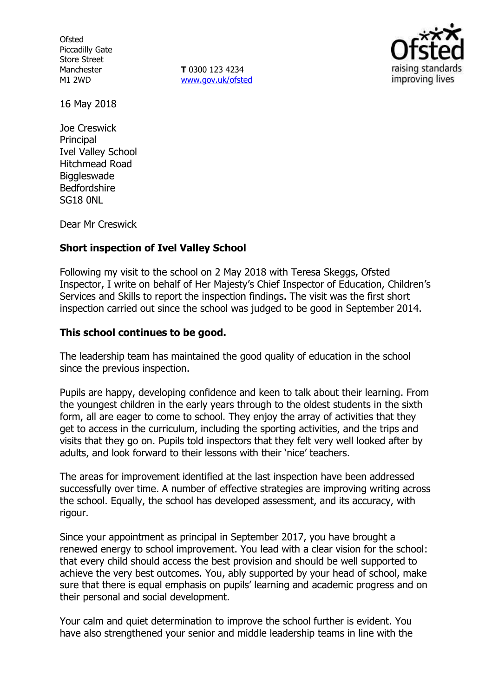**Ofsted** Piccadilly Gate Store Street Manchester M1 2WD

**T** 0300 123 4234 www.gov.uk/ofsted



16 May 2018

Joe Creswick Principal Ivel Valley School Hitchmead Road **Biggleswade** Bedfordshire SG18 0NL

Dear Mr Creswick

### **Short inspection of Ivel Valley School**

Following my visit to the school on 2 May 2018 with Teresa Skeggs, Ofsted Inspector, I write on behalf of Her Majesty's Chief Inspector of Education, Children's Services and Skills to report the inspection findings. The visit was the first short inspection carried out since the school was judged to be good in September 2014.

#### **This school continues to be good.**

The leadership team has maintained the good quality of education in the school since the previous inspection.

Pupils are happy, developing confidence and keen to talk about their learning. From the youngest children in the early years through to the oldest students in the sixth form, all are eager to come to school. They enjoy the array of activities that they get to access in the curriculum, including the sporting activities, and the trips and visits that they go on. Pupils told inspectors that they felt very well looked after by adults, and look forward to their lessons with their 'nice' teachers.

The areas for improvement identified at the last inspection have been addressed successfully over time. A number of effective strategies are improving writing across the school. Equally, the school has developed assessment, and its accuracy, with rigour.

Since your appointment as principal in September 2017, you have brought a renewed energy to school improvement. You lead with a clear vision for the school: that every child should access the best provision and should be well supported to achieve the very best outcomes. You, ably supported by your head of school, make sure that there is equal emphasis on pupils' learning and academic progress and on their personal and social development.

Your calm and quiet determination to improve the school further is evident. You have also strengthened your senior and middle leadership teams in line with the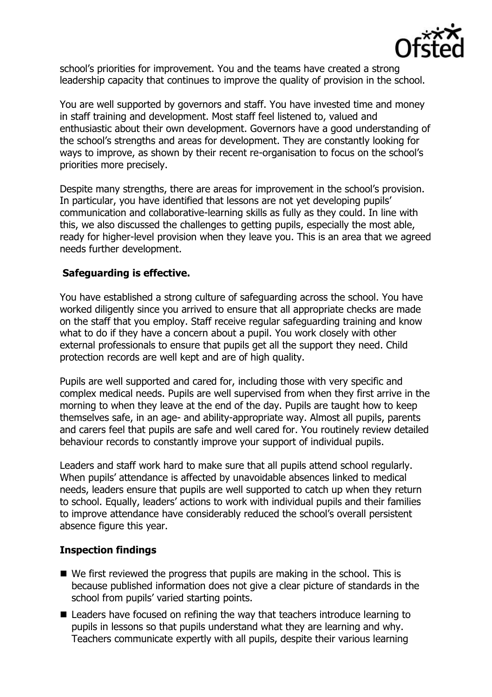

school's priorities for improvement. You and the teams have created a strong leadership capacity that continues to improve the quality of provision in the school.

You are well supported by governors and staff. You have invested time and money in staff training and development. Most staff feel listened to, valued and enthusiastic about their own development. Governors have a good understanding of the school's strengths and areas for development. They are constantly looking for ways to improve, as shown by their recent re-organisation to focus on the school's priorities more precisely.

Despite many strengths, there are areas for improvement in the school's provision. In particular, you have identified that lessons are not yet developing pupils' communication and collaborative-learning skills as fully as they could. In line with this, we also discussed the challenges to getting pupils, especially the most able, ready for higher-level provision when they leave you. This is an area that we agreed needs further development.

# **Safeguarding is effective.**

You have established a strong culture of safeguarding across the school. You have worked diligently since you arrived to ensure that all appropriate checks are made on the staff that you employ. Staff receive regular safeguarding training and know what to do if they have a concern about a pupil. You work closely with other external professionals to ensure that pupils get all the support they need. Child protection records are well kept and are of high quality.

Pupils are well supported and cared for, including those with very specific and complex medical needs. Pupils are well supervised from when they first arrive in the morning to when they leave at the end of the day. Pupils are taught how to keep themselves safe, in an age- and ability-appropriate way. Almost all pupils, parents and carers feel that pupils are safe and well cared for. You routinely review detailed behaviour records to constantly improve your support of individual pupils.

Leaders and staff work hard to make sure that all pupils attend school regularly. When pupils' attendance is affected by unavoidable absences linked to medical needs, leaders ensure that pupils are well supported to catch up when they return to school. Equally, leaders' actions to work with individual pupils and their families to improve attendance have considerably reduced the school's overall persistent absence figure this year.

### **Inspection findings**

- We first reviewed the progress that pupils are making in the school. This is because published information does not give a clear picture of standards in the school from pupils' varied starting points.
- Leaders have focused on refining the way that teachers introduce learning to pupils in lessons so that pupils understand what they are learning and why. Teachers communicate expertly with all pupils, despite their various learning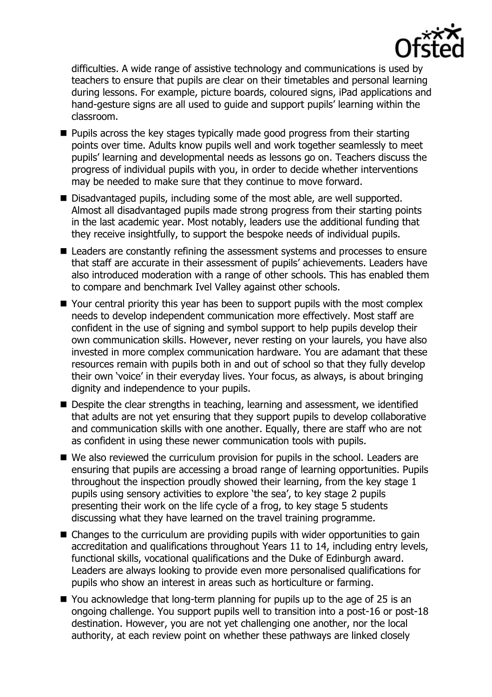

difficulties. A wide range of assistive technology and communications is used by teachers to ensure that pupils are clear on their timetables and personal learning during lessons. For example, picture boards, coloured signs, iPad applications and hand-gesture signs are all used to guide and support pupils' learning within the classroom.

- **Pupils across the key stages typically made good progress from their starting** points over time. Adults know pupils well and work together seamlessly to meet pupils' learning and developmental needs as lessons go on. Teachers discuss the progress of individual pupils with you, in order to decide whether interventions may be needed to make sure that they continue to move forward.
- Disadvantaged pupils, including some of the most able, are well supported. Almost all disadvantaged pupils made strong progress from their starting points in the last academic year. Most notably, leaders use the additional funding that they receive insightfully, to support the bespoke needs of individual pupils.
- Leaders are constantly refining the assessment systems and processes to ensure that staff are accurate in their assessment of pupils' achievements. Leaders have also introduced moderation with a range of other schools. This has enabled them to compare and benchmark Ivel Valley against other schools.
- Your central priority this year has been to support pupils with the most complex needs to develop independent communication more effectively. Most staff are confident in the use of signing and symbol support to help pupils develop their own communication skills. However, never resting on your laurels, you have also invested in more complex communication hardware. You are adamant that these resources remain with pupils both in and out of school so that they fully develop their own 'voice' in their everyday lives. Your focus, as always, is about bringing dignity and independence to your pupils.
- Despite the clear strengths in teaching, learning and assessment, we identified that adults are not yet ensuring that they support pupils to develop collaborative and communication skills with one another. Equally, there are staff who are not as confident in using these newer communication tools with pupils.
- We also reviewed the curriculum provision for pupils in the school. Leaders are ensuring that pupils are accessing a broad range of learning opportunities. Pupils throughout the inspection proudly showed their learning, from the key stage 1 pupils using sensory activities to explore 'the sea', to key stage 2 pupils presenting their work on the life cycle of a frog, to key stage 5 students discussing what they have learned on the travel training programme.
- Changes to the curriculum are providing pupils with wider opportunities to gain accreditation and qualifications throughout Years 11 to 14, including entry levels, functional skills, vocational qualifications and the Duke of Edinburgh award. Leaders are always looking to provide even more personalised qualifications for pupils who show an interest in areas such as horticulture or farming.
- You acknowledge that long-term planning for pupils up to the age of 25 is an ongoing challenge. You support pupils well to transition into a post-16 or post-18 destination. However, you are not yet challenging one another, nor the local authority, at each review point on whether these pathways are linked closely